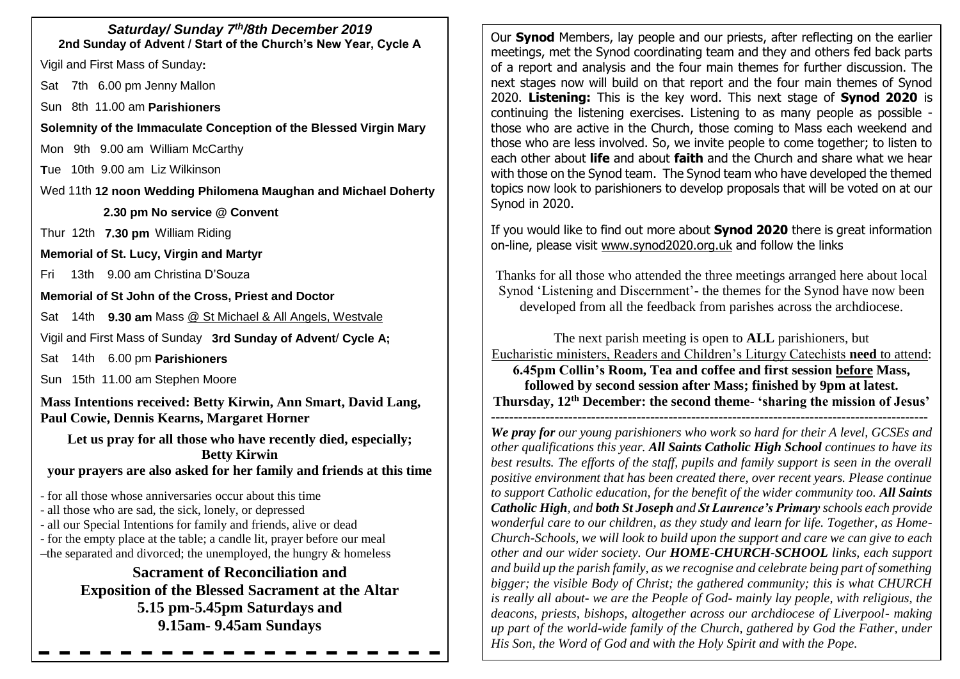## *Saturday/ Sunday 7 th/8th December 2019* **2nd Sunday of Advent / Start of the Church's New Year, Cycle A**

Vigil and First Mass of Sunday**:**

Sat 7th 6.00 pm Jenny Mallon

Sun 8th 11.00 am **Parishioners**

**Solemnity of the Immaculate Conception of the Blessed Virgin Mary**

Mon 9th 9.00 am William McCarthy

**T**ue 10th 9.00 am Liz Wilkinson

Wed 11th **12 noon Wedding Philomena Maughan and Michael Doherty**

 **2.30 pm No service @ Convent**

Thur 12th **7.30 pm** William Riding

**Memorial of St. Lucy, Virgin and Martyr**

Fri 13th 9.00 am Christina D'Souza

**Memorial of St John of the Cross, Priest and Doctor**

Sat 14th **9.30 am** Mass @ St Michael & All Angels, Westvale

Vigil and First Mass of Sunday **3rd Sunday of Advent**/ **Cycle A;**

Sat 14th 6.00 pm **Parishioners**

Sun 15th 11.00 am Stephen Moore

**Mass Intentions received: Betty Kirwin, Ann Smart, David Lang, Paul Cowie, Dennis Kearns, Margaret Horner**

**Let us pray for all those who have recently died, especially; Betty Kirwin your prayers are also asked for her family and friends at this time**

- for all those whose anniversaries occur about this time

- all those who are sad, the sick, lonely, or depressed
- all our Special Intentions for family and friends, alive or dead
- for the empty place at the table; a candle lit, prayer before our meal

–the separated and divorced; the unemployed, the hungry  $\&$  homeless

**Sacrament of Reconciliation and Exposition of the Blessed Sacrament at the Altar 5.15 pm-5.45pm Saturdays and 9.15am- 9.45am Sundays**

Our **Synod** Members, lay people and our priests, after reflecting on the earlier meetings, met the Synod coordinating team and they and others fed back parts of a report and analysis and the four main themes for further discussion. The next stages now will build on that report and the four main themes of Synod 2020. **Listening:** This is the key word. This next stage of **Synod 2020** is continuing the listening exercises. Listening to as many people as possible those who are active in the Church, those coming to Mass each weekend and those who are less involved. So, we invite people to come together; to listen to each other about **life** and about **faith** and the Church and share what we hear with those on the Synod team. The Synod team who have developed the themed topics now look to parishioners to develop proposals that will be voted on at our Synod in 2020.

If you would like to find out more about **Synod 2020** there is great information on-line, please visit www.synod2020.org.uk and follow the links

Thanks for all those who attended the three meetings arranged here about local Synod 'Listening and Discernment'- the themes for the Synod have now been developed from all the feedback from parishes across the archdiocese.

The next parish meeting is open to **ALL** parishioners, but Eucharistic ministers, Readers and Children's Liturgy Catechists **need** to attend: **6.45pm Collin's Room, Tea and coffee and first session before Mass, followed by second session after Mass; finished by 9pm at latest. Thursday, 12th December: the second theme- 'sharing the mission of Jesus'** 

------------------------------------------------------------------------------------------------ *We pray for our young parishioners who work so hard for their A level, GCSEs and other qualifications this year. All Saints Catholic High School continues to have its best results. The efforts of the staff, pupils and family support is seen in the overall positive environment that has been created there, over recent years. Please continue to support Catholic education, for the benefit of the wider community too. All Saints Catholic High, and both St Joseph and St Laurence's Primary schools each provide wonderful care to our children, as they study and learn for life. Together, as Home-Church-Schools, we will look to build upon the support and care we can give to each other and our wider society. Our HOME-CHURCH-SCHOOL links, each support and build up the parish family, as we recognise and celebrate being part of something bigger; the visible Body of Christ; the gathered community; this is what CHURCH is really all about- we are the People of God- mainly lay people, with religious, the deacons, priests, bishops, altogether across our archdiocese of Liverpool- making up part of the world-wide family of the Church, gathered by God the Father, under His Son, the Word of God and with the Holy Spirit and with the Pope.*